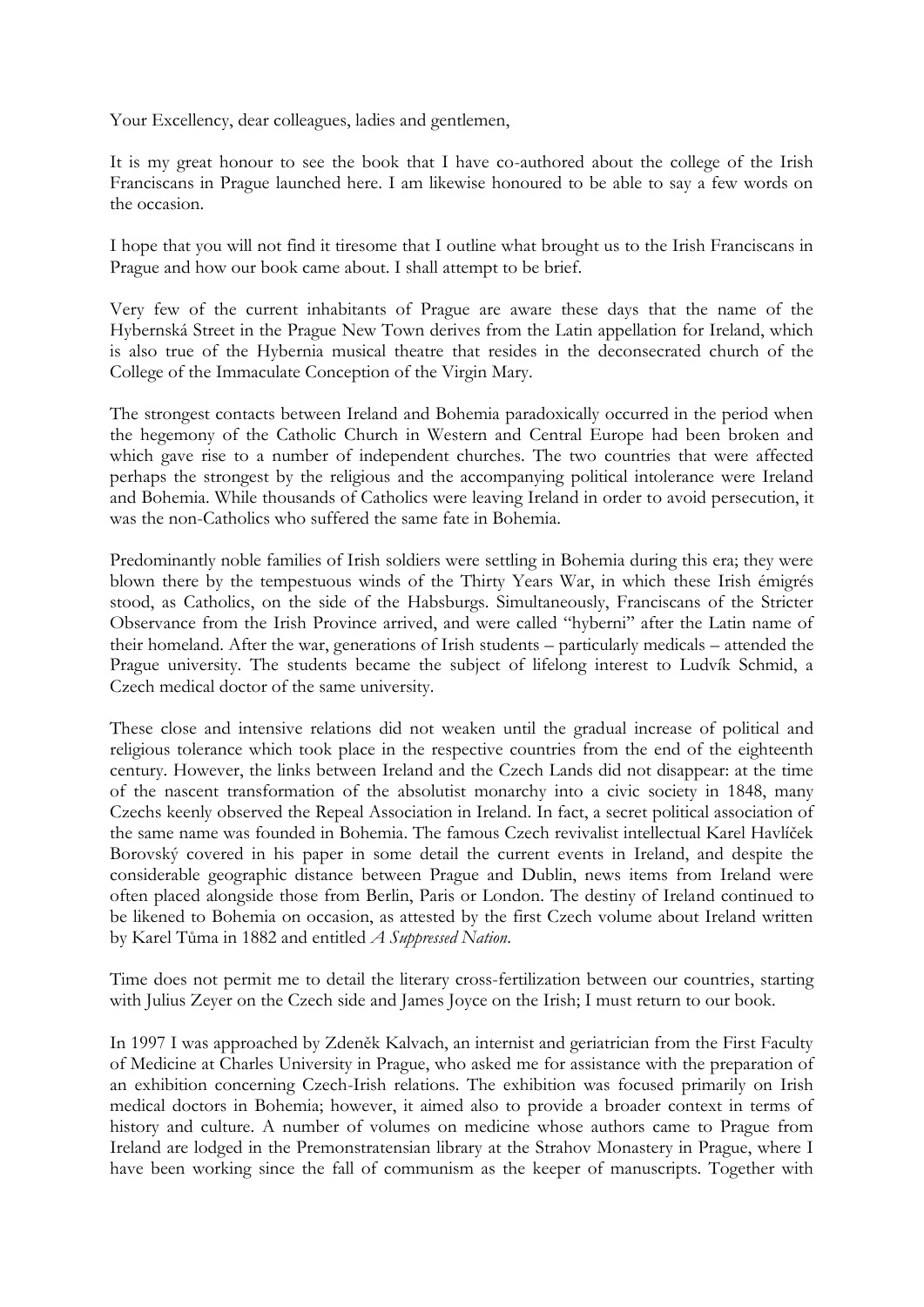Your Excellency, dear colleagues, ladies and gentlemen,

It is my great honour to see the book that I have co-authored about the college of the Irish Franciscans in Prague launched here. I am likewise honoured to be able to say a few words on the occasion.

I hope that you will not find it tiresome that I outline what brought us to the Irish Franciscans in Prague and how our book came about. I shall attempt to be brief.

Very few of the current inhabitants of Prague are aware these days that the name of the Hybernská Street in the Prague New Town derives from the Latin appellation for Ireland, which is also true of the Hybernia musical theatre that resides in the deconsecrated church of the College of the Immaculate Conception of the Virgin Mary.

The strongest contacts between Ireland and Bohemia paradoxically occurred in the period when the hegemony of the Catholic Church in Western and Central Europe had been broken and which gave rise to a number of independent churches. The two countries that were affected perhaps the strongest by the religious and the accompanying political intolerance were Ireland and Bohemia. While thousands of Catholics were leaving Ireland in order to avoid persecution, it was the non-Catholics who suffered the same fate in Bohemia.

Predominantly noble families of Irish soldiers were settling in Bohemia during this era; they were blown there by the tempestuous winds of the Thirty Years War, in which these Irish émigrés stood, as Catholics, on the side of the Habsburgs. Simultaneously, Franciscans of the Stricter Observance from the Irish Province arrived, and were called "hyberni" after the Latin name of their homeland. After the war, generations of Irish students – particularly medicals – attended the Prague university. The students became the subject of lifelong interest to Ludvík Schmid, a Czech medical doctor of the same university.

These close and intensive relations did not weaken until the gradual increase of political and religious tolerance which took place in the respective countries from the end of the eighteenth century. However, the links between Ireland and the Czech Lands did not disappear: at the time of the nascent transformation of the absolutist monarchy into a civic society in 1848, many Czechs keenly observed the Repeal Association in Ireland. In fact, a secret political association of the same name was founded in Bohemia. The famous Czech revivalist intellectual Karel Havlíček Borovský covered in his paper in some detail the current events in Ireland, and despite the considerable geographic distance between Prague and Dublin, news items from Ireland were often placed alongside those from Berlin, Paris or London. The destiny of Ireland continued to be likened to Bohemia on occasion, as attested by the first Czech volume about Ireland written by Karel Tůma in 1882 and entitled *A Suppressed Nation*.

Time does not permit me to detail the literary cross-fertilization between our countries, starting with Julius Zeyer on the Czech side and James Joyce on the Irish; I must return to our book.

In 1997 I was approached by Zdeněk Kalvach, an internist and geriatrician from the First Faculty of Medicine at Charles University in Prague, who asked me for assistance with the preparation of an exhibition concerning Czech-Irish relations. The exhibition was focused primarily on Irish medical doctors in Bohemia; however, it aimed also to provide a broader context in terms of history and culture. A number of volumes on medicine whose authors came to Prague from Ireland are lodged in the Premonstratensian library at the Strahov Monastery in Prague, where I have been working since the fall of communism as the keeper of manuscripts. Together with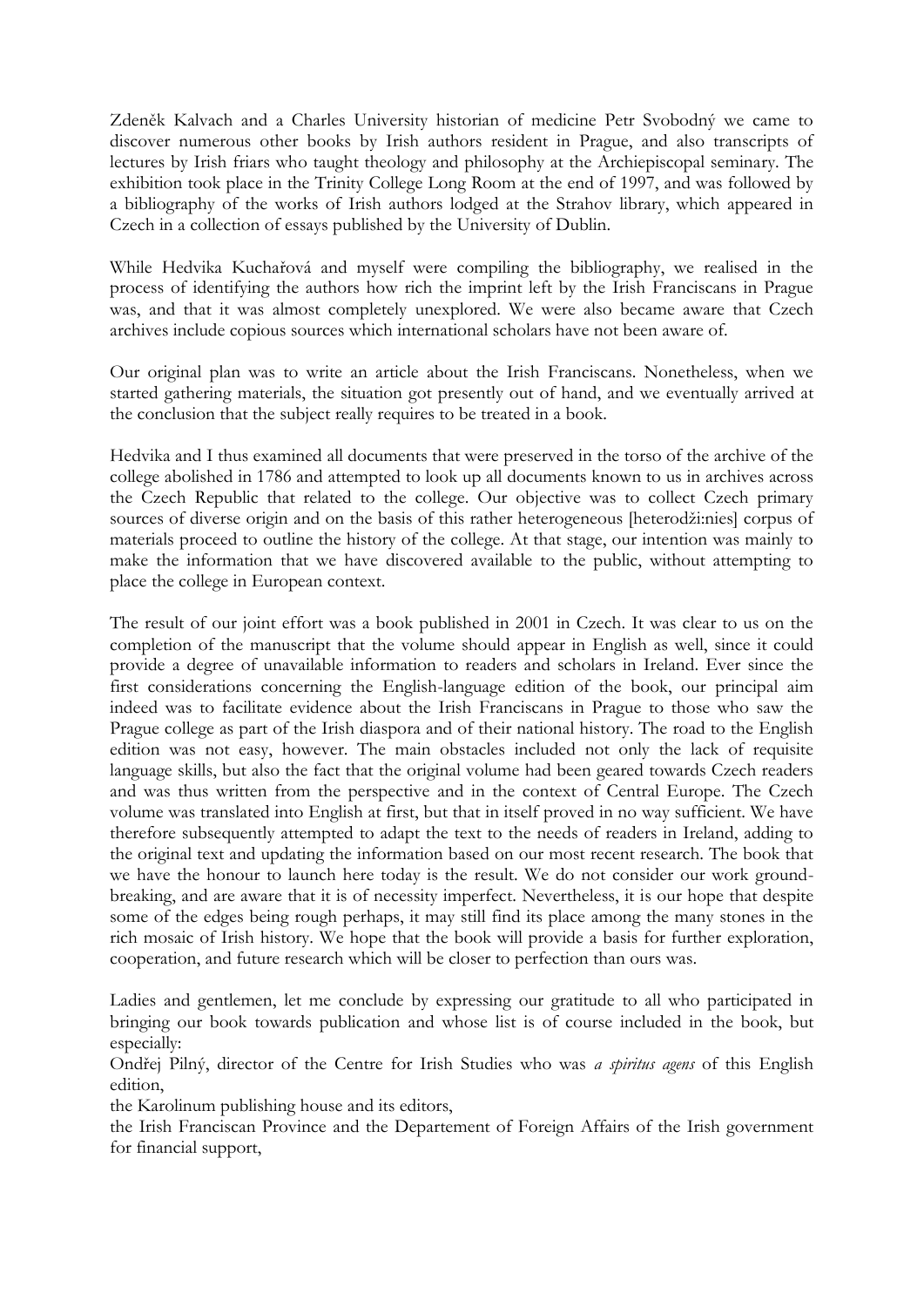Zdeněk Kalvach and a Charles University historian of medicine Petr Svobodný we came to discover numerous other books by Irish authors resident in Prague, and also transcripts of lectures by Irish friars who taught theology and philosophy at the Archiepiscopal seminary. The exhibition took place in the Trinity College Long Room at the end of 1997, and was followed by a bibliography of the works of Irish authors lodged at the Strahov library, which appeared in Czech in a collection of essays published by the University of Dublin.

While Hedvika Kuchařová and myself were compiling the bibliography, we realised in the process of identifying the authors how rich the imprint left by the Irish Franciscans in Prague was, and that it was almost completely unexplored. We were also became aware that Czech archives include copious sources which international scholars have not been aware of.

Our original plan was to write an article about the Irish Franciscans. Nonetheless, when we started gathering materials, the situation got presently out of hand, and we eventually arrived at the conclusion that the subject really requires to be treated in a book.

Hedvika and I thus examined all documents that were preserved in the torso of the archive of the college abolished in 1786 and attempted to look up all documents known to us in archives across the Czech Republic that related to the college. Our objective was to collect Czech primary sources of diverse origin and on the basis of this rather heterogeneous [heterodži:nies] corpus of materials proceed to outline the history of the college. At that stage, our intention was mainly to make the information that we have discovered available to the public, without attempting to place the college in European context.

The result of our joint effort was a book published in 2001 in Czech. It was clear to us on the completion of the manuscript that the volume should appear in English as well, since it could provide a degree of unavailable information to readers and scholars in Ireland. Ever since the first considerations concerning the English-language edition of the book, our principal aim indeed was to facilitate evidence about the Irish Franciscans in Prague to those who saw the Prague college as part of the Irish diaspora and of their national history. The road to the English edition was not easy, however. The main obstacles included not only the lack of requisite language skills, but also the fact that the original volume had been geared towards Czech readers and was thus written from the perspective and in the context of Central Europe. The Czech volume was translated into English at first, but that in itself proved in no way sufficient. We have therefore subsequently attempted to adapt the text to the needs of readers in Ireland, adding to the original text and updating the information based on our most recent research. The book that we have the honour to launch here today is the result. We do not consider our work groundbreaking, and are aware that it is of necessity imperfect. Nevertheless, it is our hope that despite some of the edges being rough perhaps, it may still find its place among the many stones in the rich mosaic of Irish history. We hope that the book will provide a basis for further exploration, cooperation, and future research which will be closer to perfection than ours was.

Ladies and gentlemen, let me conclude by expressing our gratitude to all who participated in bringing our book towards publication and whose list is of course included in the book, but especially:

Ondřej Pilný, director of the Centre for Irish Studies who was *a spiritus agens* of this English edition,

the Karolinum publishing house and its editors,

the Irish Franciscan Province and the Departement of Foreign Affairs of the Irish government for financial support,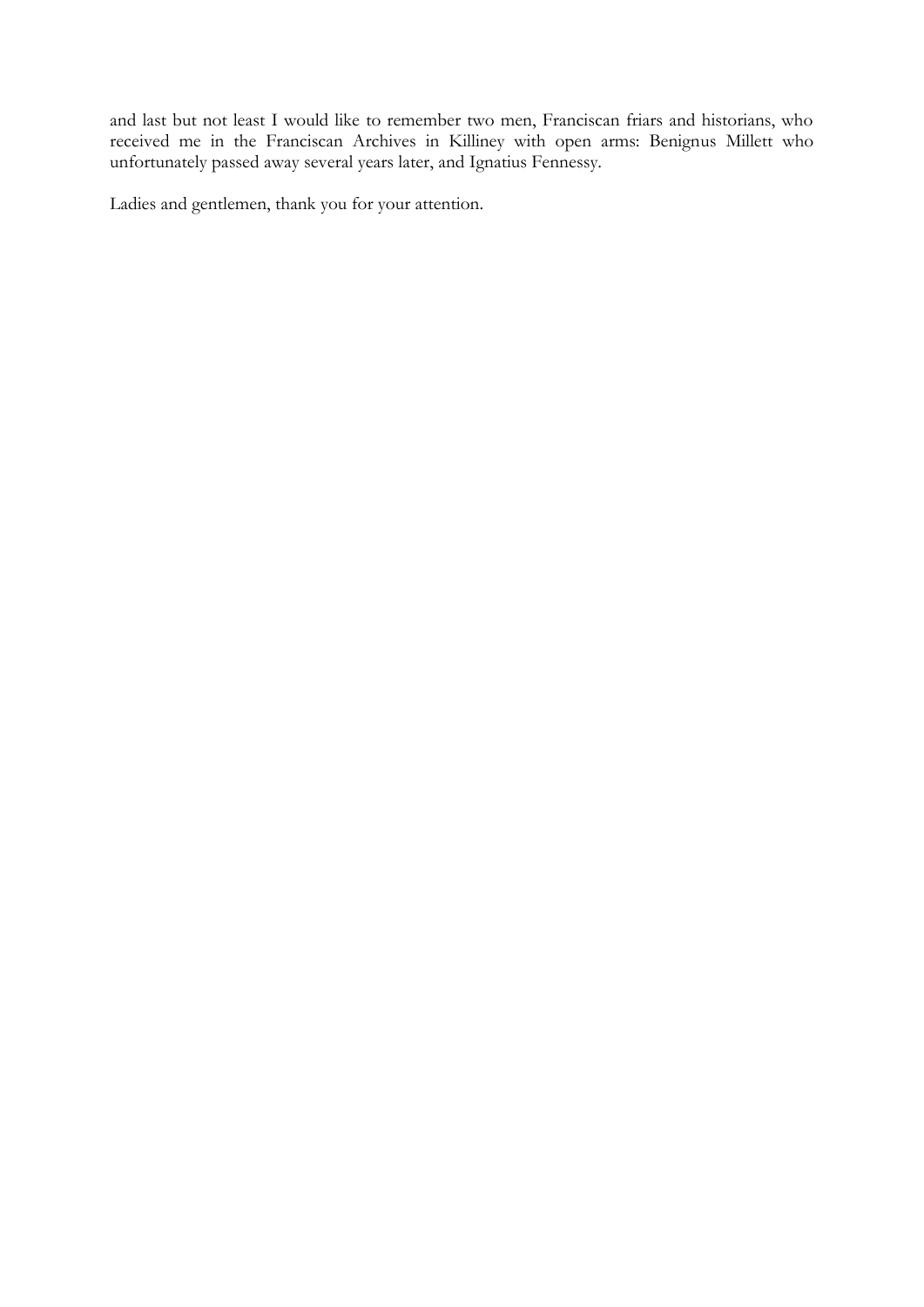and last but not least I would like to remember two men, Franciscan friars and historians, who received me in the Franciscan Archives in Killiney with open arms: Benignus Millett who unfortunately passed away several years later, and Ignatius Fennessy.

Ladies and gentlemen, thank you for your attention.